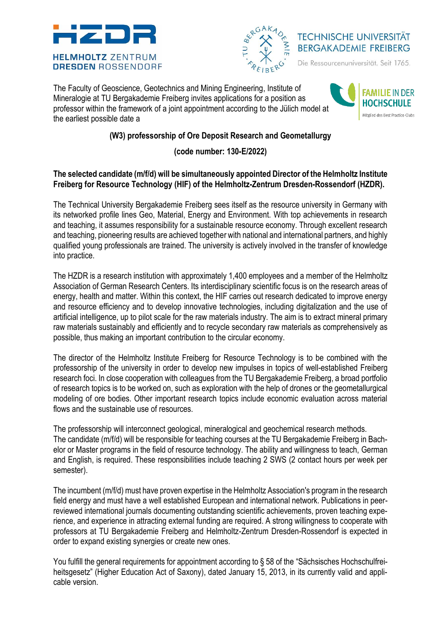



**TECHNISCHE UNIVERSITÄT BERGAKADEMIE FREIBERG** 

Die Ressourcenuniversität. Seit 1765.

The Faculty of Geoscience, Geotechnics and Mining Engineering, Institute of Mineralogie at TU Bergakademie Freiberg invites applications for a position as professor within the framework of a joint appointment according to the Jülich model at the earliest possible date a



# **(W3) professorship of Ore Deposit Research and Geometallurgy**

## **(code number: 130-E/2022)**

#### **The selected candidate (m/f/d) will be simultaneously appointed Director of the Helmholtz Institute Freiberg for Resource Technology (HIF) of the Helmholtz-Zentrum Dresden-Rossendorf (HZDR).**

The Technical University Bergakademie Freiberg sees itself as the resource university in Germany with its networked profile lines Geo, Material, Energy and Environment. With top achievements in research and teaching, it assumes responsibility for a sustainable resource economy. Through excellent research and teaching, pioneering results are achieved together with national and international partners, and highly qualified young professionals are trained. The university is actively involved in the transfer of knowledge into practice.

The HZDR is a research institution with approximately 1,400 employees and a member of the Helmholtz Association of German Research Centers. Its interdisciplinary scientific focus is on the research areas of energy, health and matter. Within this context, the HIF carries out research dedicated to improve energy and resource efficiency and to develop innovative technologies, including digitalization and the use of artificial intelligence, up to pilot scale for the raw materials industry. The aim is to extract mineral primary raw materials sustainably and efficiently and to recycle secondary raw materials as comprehensively as possible, thus making an important contribution to the circular economy.

The director of the Helmholtz Institute Freiberg for Resource Technology is to be combined with the professorship of the university in order to develop new impulses in topics of well-established Freiberg research foci. In close cooperation with colleagues from the TU Bergakademie Freiberg, a broad portfolio of research topics is to be worked on, such as exploration with the help of drones or the geometallurgical modeling of ore bodies. Other important research topics include economic evaluation across material flows and the sustainable use of resources.

The professorship will interconnect geological, mineralogical and geochemical research methods. The candidate (m/f/d) will be responsible for teaching courses at the TU Bergakademie Freiberg in Bachelor or Master programs in the field of resource technology. The ability and willingness to teach, German and English, is required. These responsibilities include teaching 2 SWS (2 contact hours per week per semester).

The incumbent (m/f/d) must have proven expertise in the Helmholtz Association's program in the research field energy and must have a well established European and international network. Publications in peerreviewed international journals documenting outstanding scientific achievements, proven teaching experience, and experience in attracting external funding are required. A strong willingness to cooperate with professors at TU Bergakademie Freiberg and Helmholtz-Zentrum Dresden-Rossendorf is expected in order to expand existing synergies or create new ones.

You fulfill the general requirements for appointment according to § 58 of the "Sächsisches Hochschulfreiheitsgesetz" (Higher Education Act of Saxony), dated January 15, 2013, in its currently valid and applicable version.